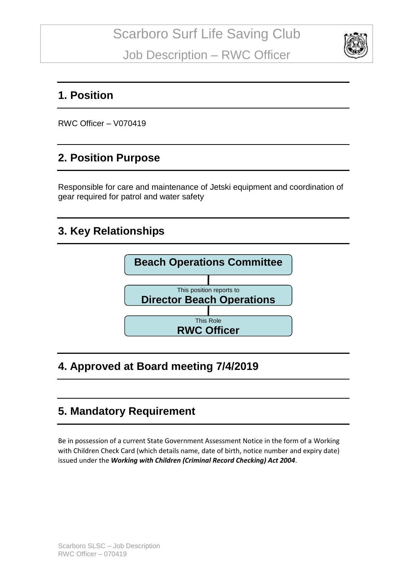

#### **1. Position**

RWC Officer – V070419

### **2. Position Purpose**

Responsible for care and maintenance of Jetski equipment and coordination of gear required for patrol and water safety

### **3. Key Relationships**



# **4. Approved at Board meeting 7/4/2019**

# **5. Mandatory Requirement**

Be in possession of a current State Government Assessment Notice in the form of a Working with Children Check Card (which details name, date of birth, notice number and expiry date) issued under the *Working with Children (Criminal Record Checking) Act 2004*.